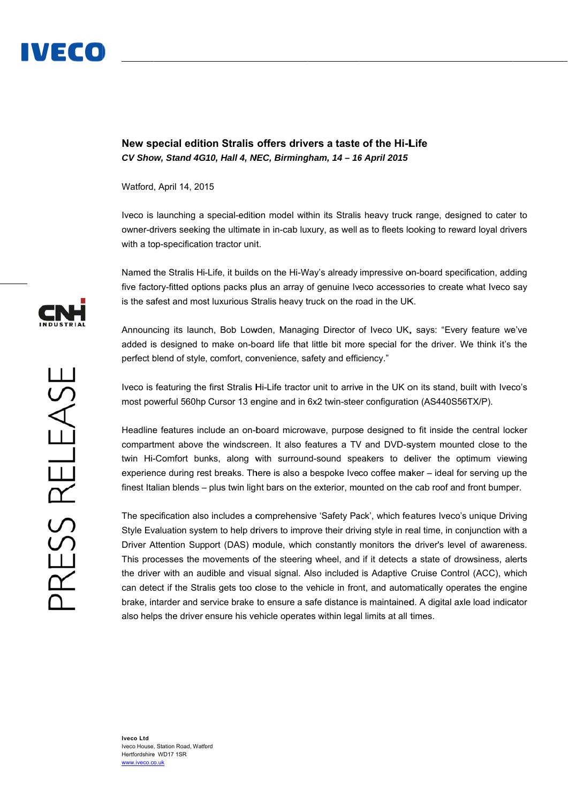

New special edition Stralis offers drivers a taste of the Hi-Life CV Show, Stand 4G10, Hall 4, NEC, Birmingham, 14 - 16 April 2015

Watford , April 14, 20 15

Iveco is launching a special-edition model within its Stralis heavy truck range, designed to cater to owner-drivers seeking the ultimate in in-cab luxury, as well as to fleets looking to reward loyal drivers with a top-specification tractor unit.

Named the Stralis Hi-Life, it builds on the Hi-Way's already impressive on-board specification, adding five factory-fitted options packs plus an array of genuine Iveco accessories to create what Iveco say is the safest and most luxurious Stralis heavy truck on the road in the UK.

Announcing its launch, Bob Lowden, Managing Director of Iveco UK, says: "Every feature we've added is designed to make on-board life that little bit more special for the driver. We think it's the perfect blend of style, comfort, convenience, safety and efficiency."

Iveco is featuring the first Stralis Hi-Life tractor unit to arrive in the UK on its stand, built with Iveco's most powerful 560hp Cursor 13 engine and in 6x2 twin-steer configuration (AS440S56TX/P).

Headline features include an on-board microwave, purpose designed to fit inside the central locker compartment above the windscreen. It also features a TV and DVD-system mounted close to the twin Hi-Comfort bunks, along with surround-sound speakers to deliver the optimum viewing experience during rest breaks. There is also a bespoke Iveco coffee maker – ideal for serving up the finest Italian blends – plus twin light bars on the exterior, mounted on the cab roof and front bumper.

The specification also includes a comprehensive 'Safety Pack', which features Iveco's unique Driving Style Evaluation system to help drivers to improve their driving style in real time, in conjunction with a Driver Attention Support (DAS) module, which constantly monitors the driver's level of awareness. This processes the movements of the steering wheel, and if it detects a state of drowsiness, alerts the driver with an audible and visual signal. Also included is Adaptive Cruise Control (ACC), which can detect if the Stralis gets too close to the vehicle in front, and automatically operates the engine brake, intarder and service brake to ensure a safe distance is maintained. A digital axle load indicator also helps the driver ensure his vehicle operates within legal limits at all times.

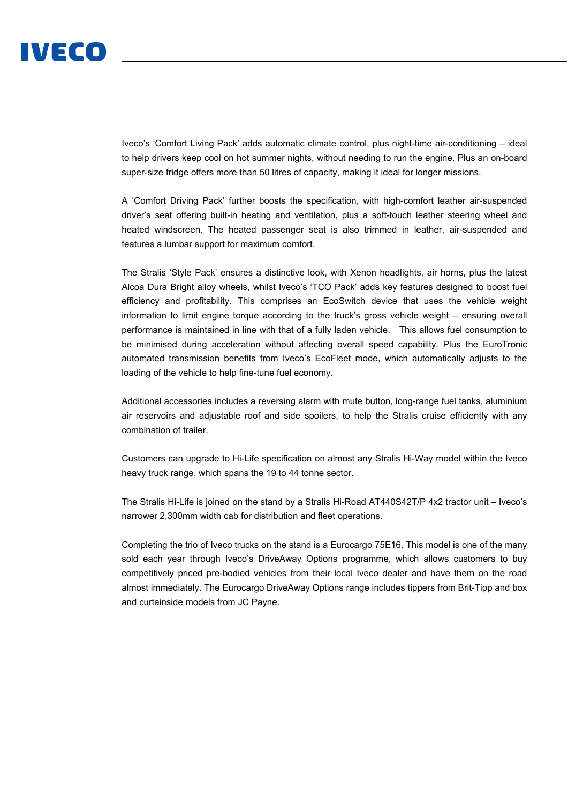

Iveco's 'Comfort Living Pack' adds automatic climate control, plus night-time air-conditioning – ideal to help drivers keep cool on hot summer nights, without needing to run the engine. Plus an on-board super-size fridge offers more than 50 litres of capacity, making it ideal for longer missions.

A 'Comfort Driving Pack' further boosts the specification, with high-comfort leather air-suspended driver's seat offering built-in heating and ventilation, plus a soft-touch leather steering wheel and heated windscreen. The heated passenger seat is also trimmed in leather, air-suspended and features a lumbar support for maximum comfort.

The Stralis 'Style Pack' ensures a distinctive look, with Xenon headlights, air horns, plus the latest Alcoa Dura Bright alloy wheels, whilst Iveco's 'TCO Pack' adds key features designed to boost fuel efficiency and profitability. This comprises an EcoSwitch device that uses the vehicle weight information to limit engine torque according to the truck's gross vehicle weight – ensuring overall performance is maintained in line with that of a fully laden vehicle. This allows fuel consumption to be minimised during acceleration without affecting overall speed capability. Plus the EuroTronic automated transmission benefits from Iveco's EcoFleet mode, which automatically adjusts to the loading of the vehicle to help fine-tune fuel economy.

Additional accessories includes a reversing alarm with mute button, long-range fuel tanks, aluminium air reservoirs and adjustable roof and side spoilers, to help the Stralis cruise efficiently with any combination of trailer.

Customers can upgrade to Hi-Life specification on almost any Stralis Hi-Way model within the Iveco heavy truck range, which spans the 19 to 44 tonne sector.

The Stralis Hi-Life is joined on the stand by a Stralis Hi-Road AT440S42T/P 4x2 tractor unit – Iveco's narrower 2,300mm width cab for distribution and fleet operations.

Completing the trio of Iveco trucks on the stand is a Eurocargo 75E16. This model is one of the many sold each year through Iveco's DriveAway Options programme, which allows customers to buy competitively priced pre-bodied vehicles from their local Iveco dealer and have them on the road almost immediately. The Eurocargo DriveAway Options range includes tippers from Brit-Tipp and box and curtainside models from JC Payne.